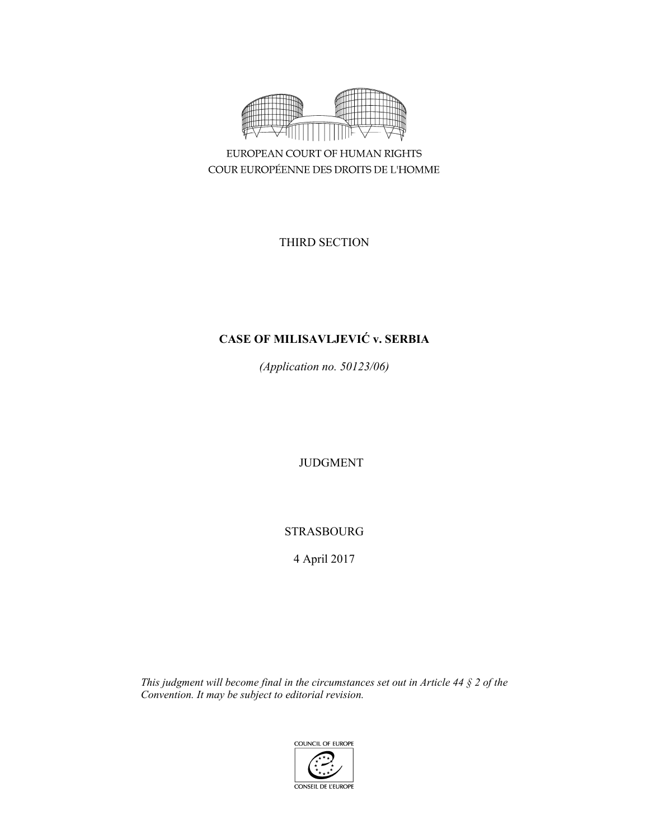

EUROPEAN COURT OF HUMAN RIGHTS COUR EUROPÉENNE DES DROITS DE L'HOMME

THIRD SECTION

# **CASE OF MILISAVLJEVIĆ v. SERBIA**

*(Application no. 50123/06)* 

JUDGMENT

STRASBOURG

4 April 2017

*This judgment will become final in the circumstances set out in Article 44 § 2 of the Convention. It may be subject to editorial revision.* 

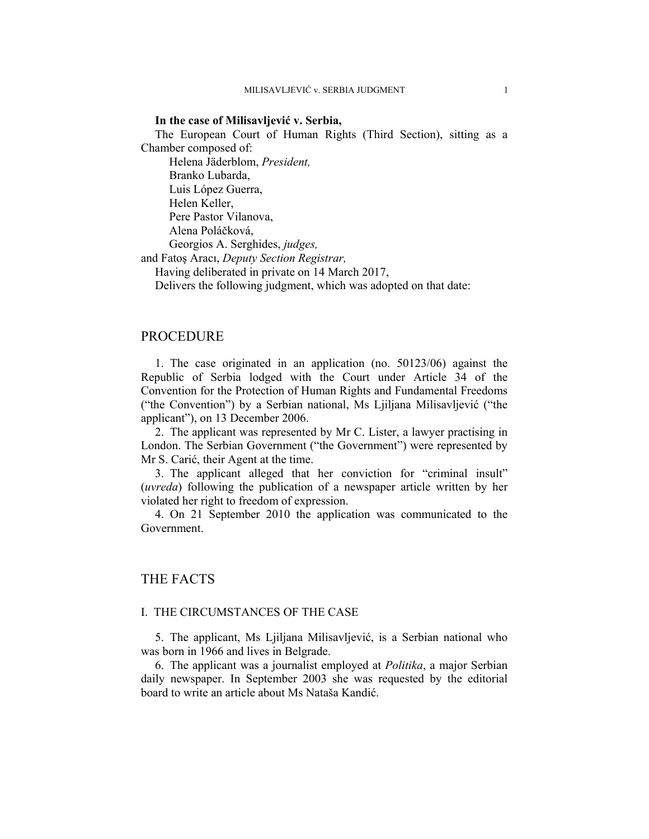#### **In the case of Milisavljević v. Serbia,**

The European Court of Human Rights (Third Section), sitting as a Chamber composed of:

 Helena Jäderblom, *President,*  Branko Lubarda, Luis López Guerra, Helen Keller, Pere Pastor Vilanova, Alena Poláčková, Georgios A. Serghides, *judges,*

and Fatoş Aracı, *Deputy Section Registrar,*

Having deliberated in private on 14 March 2017,

Delivers the following judgment, which was adopted on that date:

### PROCEDURE

1. The case originated in an application (no. 50123/06) against the Republic of Serbia lodged with the Court under Article 34 of the Convention for the Protection of Human Rights and Fundamental Freedoms ("the Convention") by a Serbian national, Ms Ljiljana Milisavljević ("the applicant"), on 13 December 2006.

2. The applicant was represented by Mr C. Lister, a lawyer practising in London. The Serbian Government ("the Government") were represented by Mr S. Carić, their Agent at the time.

3. The applicant alleged that her conviction for "criminal insult" (*uvreda*) following the publication of a newspaper article written by her violated her right to freedom of expression.

4. On 21 September 2010 the application was communicated to the Government.

# THE FACTS

# I. THE CIRCUMSTANCES OF THE CASE

5. The applicant, Ms Ljiljana Milisavljević, is a Serbian national who was born in 1966 and lives in Belgrade.

6. The applicant was a journalist employed at *Politika*, a major Serbian daily newspaper. In September 2003 she was requested by the editorial board to write an article about Ms Nataša Kandić.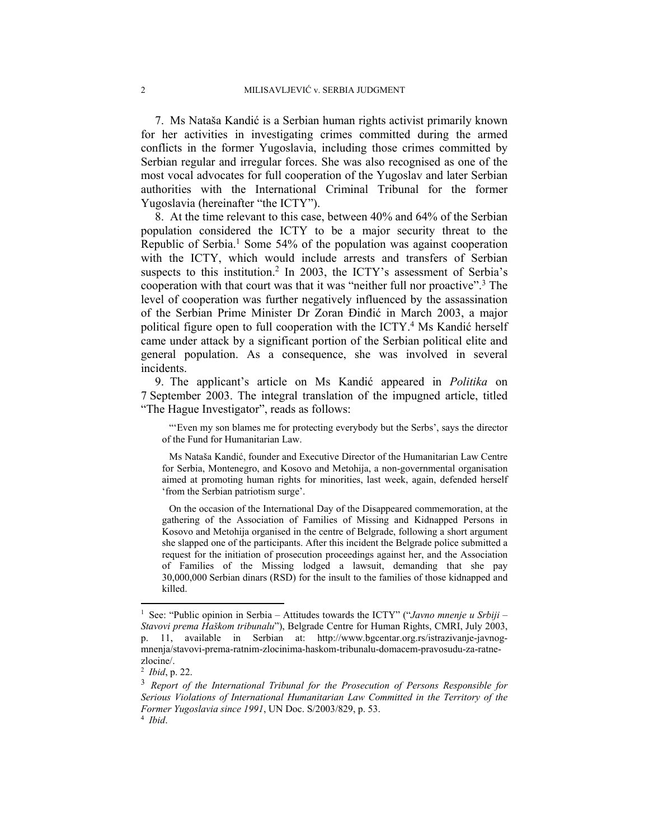7. Ms Nataša Kandić is a Serbian human rights activist primarily known for her activities in investigating crimes committed during the armed conflicts in the former Yugoslavia, including those crimes committed by Serbian regular and irregular forces. She was also recognised as one of the most vocal advocates for full cooperation of the Yugoslav and later Serbian authorities with the International Criminal Tribunal for the former Yugoslavia (hereinafter "the ICTY").

8. At the time relevant to this case, between 40% and 64% of the Serbian population considered the ICTY to be a major security threat to the Republic of Serbia.<sup>1</sup> Some 54% of the population was against cooperation with the ICTY, which would include arrests and transfers of Serbian suspects to this institution.<sup>2</sup> In 2003, the ICTY's assessment of Serbia's cooperation with that court was that it was "neither full nor proactive".3 The level of cooperation was further negatively influenced by the assassination of the Serbian Prime Minister Dr Zoran Đinđić in March 2003, a major political figure open to full cooperation with the ICTY.<sup>4</sup> Ms Kandić herself came under attack by a significant portion of the Serbian political elite and general population. As a consequence, she was involved in several incidents.

9. The applicant's article on Ms Kandić appeared in *Politika* on 7 September 2003. The integral translation of the impugned article, titled "The Hague Investigator", reads as follows:

"'Even my son blames me for protecting everybody but the Serbs', says the director of the Fund for Humanitarian Law.

Ms Nataša Kandić, founder and Executive Director of the Humanitarian Law Centre for Serbia, Montenegro, and Kosovo and Metohija, a non-governmental organisation aimed at promoting human rights for minorities, last week, again, defended herself 'from the Serbian patriotism surge'.

On the occasion of the International Day of the Disappeared commemoration, at the gathering of the Association of Families of Missing and Kidnapped Persons in Kosovo and Metohija organised in the centre of Belgrade, following a short argument she slapped one of the participants. After this incident the Belgrade police submitted a request for the initiation of prosecution proceedings against her, and the Association of Families of the Missing lodged a lawsuit, demanding that she pay 30,000,000 Serbian dinars (RSD) for the insult to the families of those kidnapped and killed.

 $\overline{a}$ 

<sup>&</sup>lt;sup>1</sup> See: "Public opinion in Serbia – Attitudes towards the ICTY" ("*Javno mnenje u Srbiji* – *Stavovi prema Haškom tribunalu*"), Belgrade Centre for Human Rights, CMRI, July 2003, p. 11, available in Serbian at: http://www.bgcentar.org.rs/istrazivanje-javnogmnenja/stavovi-prema-ratnim-zlocinima-haskom-tribunalu-domacem-pravosudu-za-ratnezlocine/.

<sup>2</sup> *Ibid*, p. 22.

<sup>3</sup> *Report of the International Tribunal for the Prosecution of Persons Responsible for Serious Violations of International Humanitarian Law Committed in the Territory of the Former Yugoslavia since 1991*, UN Doc. S/2003/829, p. 53. 4 *Ibid*.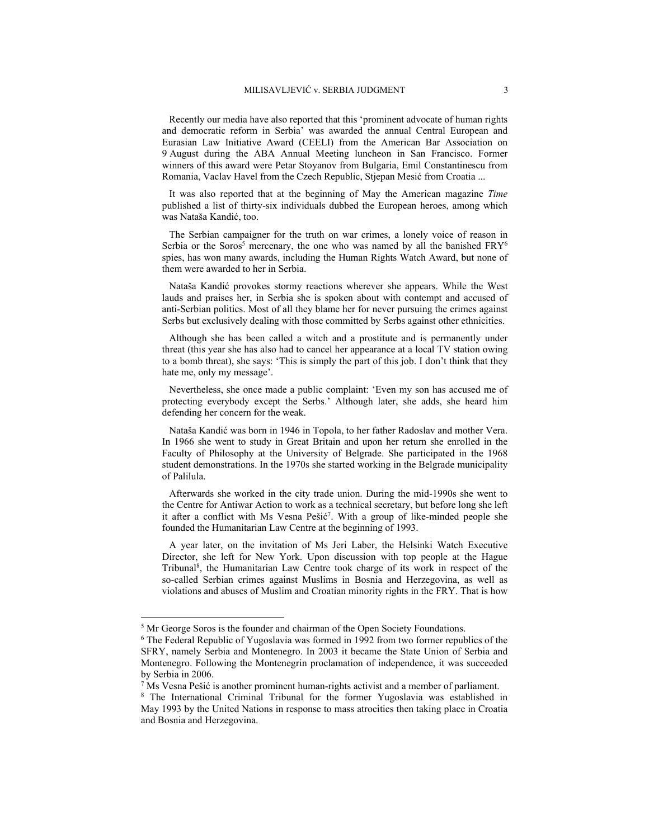Recently our media have also reported that this 'prominent advocate of human rights and democratic reform in Serbia' was awarded the annual Central European and Eurasian Law Initiative Award (CEELI) from the American Bar Association on 9 August during the ABA Annual Meeting luncheon in San Francisco. Former winners of this award were Petar Stoyanov from Bulgaria, Emil Constantinescu from Romania, Vaclav Havel from the Czech Republic, Stjepan Mesić from Croatia ...

It was also reported that at the beginning of May the American magazine *Time* published a list of thirty-six individuals dubbed the European heroes, among which was Nataša Kandić, too.

The Serbian campaigner for the truth on war crimes, a lonely voice of reason in Serbia or the Soros<sup>5</sup> mercenary, the one who was named by all the banished FRY<sup>6</sup> spies, has won many awards, including the Human Rights Watch Award, but none of them were awarded to her in Serbia.

Nataša Kandić provokes stormy reactions wherever she appears. While the West lauds and praises her, in Serbia she is spoken about with contempt and accused of anti-Serbian politics. Most of all they blame her for never pursuing the crimes against Serbs but exclusively dealing with those committed by Serbs against other ethnicities.

Although she has been called a witch and a prostitute and is permanently under threat (this year she has also had to cancel her appearance at a local TV station owing to a bomb threat), she says: 'This is simply the part of this job. I don't think that they hate me, only my message'.

Nevertheless, she once made a public complaint: 'Even my son has accused me of protecting everybody except the Serbs.' Although later, she adds, she heard him defending her concern for the weak.

Nataša Kandić was born in 1946 in Topola, to her father Radoslav and mother Vera. In 1966 she went to study in Great Britain and upon her return she enrolled in the Faculty of Philosophy at the University of Belgrade. She participated in the 1968 student demonstrations. In the 1970s she started working in the Belgrade municipality of Palilula.

Afterwards she worked in the city trade union. During the mid-1990s she went to the Centre for Antiwar Action to work as a technical secretary, but before long she left it after a conflict with Ms Vesna Pešić<sup>7</sup>. With a group of like-minded people she founded the Humanitarian Law Centre at the beginning of 1993.

A year later, on the invitation of Ms Jeri Laber, the Helsinki Watch Executive Director, she left for New York. Upon discussion with top people at the Hague Tribunal<sup>8</sup>, the Humanitarian Law Centre took charge of its work in respect of the so-called Serbian crimes against Muslims in Bosnia and Herzegovina, as well as violations and abuses of Muslim and Croatian minority rights in the FRY. That is how

 $\overline{a}$ 

<sup>&</sup>lt;sup>5</sup> Mr George Soros is the founder and chairman of the Open Society Foundations.<br><sup>6</sup> The Eederal Republic of Vugoslavia was formed in 1992 from two former repub

<sup>&</sup>lt;sup>6</sup> The Federal Republic of Yugoslavia was formed in 1992 from two former republics of the SFRY, namely Serbia and Montenegro. In 2003 it became the State Union of Serbia and Montenegro. Following the Montenegrin proclamation of independence, it was succeeded by Serbia in 2006.

<sup>&</sup>lt;sup>7</sup> Ms Vesna Pešić is another prominent human-rights activist and a member of parliament.<br><sup>8</sup> The International Criminal Tribunal for the former Yugoslavia was established i

<sup>&</sup>lt;sup>8</sup> The International Criminal Tribunal for the former Yugoslavia was established in May 1993 by the United Nations in response to mass atrocities then taking place in Croatia and Bosnia and Herzegovina.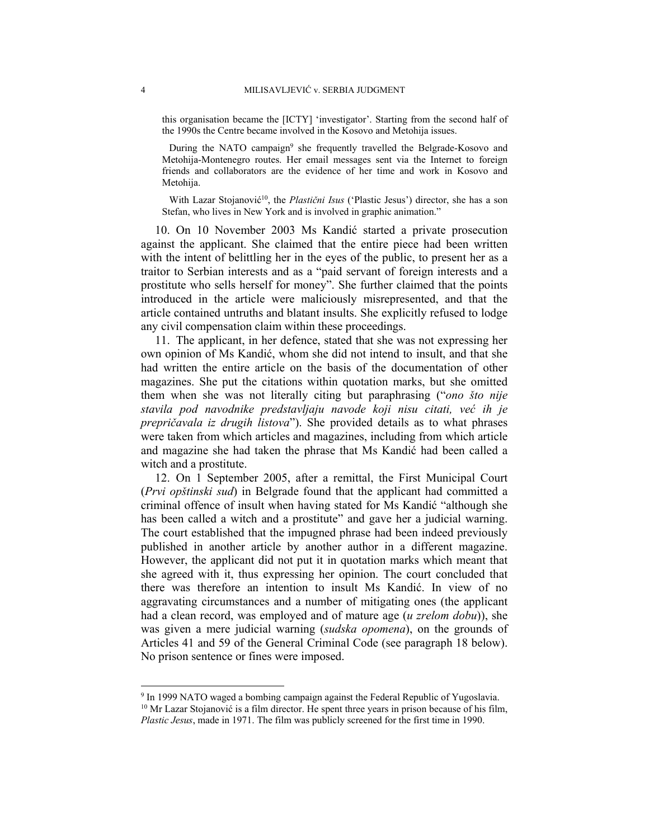this organisation became the [ICTY] 'investigator'. Starting from the second half of the 1990s the Centre became involved in the Kosovo and Metohija issues.

During the NATO campaign<sup>9</sup> she frequently travelled the Belgrade-Kosovo and Metohija-Montenegro routes. Her email messages sent via the Internet to foreign friends and collaborators are the evidence of her time and work in Kosovo and Metohija.

With Lazar Stojanović<sup>10</sup>, the *Plastični Isus* ('Plastic Jesus') director, she has a son Stefan, who lives in New York and is involved in graphic animation."

10. On 10 November 2003 Ms Kandić started a private prosecution against the applicant. She claimed that the entire piece had been written with the intent of belittling her in the eyes of the public, to present her as a traitor to Serbian interests and as a "paid servant of foreign interests and a prostitute who sells herself for money". She further claimed that the points introduced in the article were maliciously misrepresented, and that the article contained untruths and blatant insults. She explicitly refused to lodge any civil compensation claim within these proceedings.

11. The applicant, in her defence, stated that she was not expressing her own opinion of Ms Kandić, whom she did not intend to insult, and that she had written the entire article on the basis of the documentation of other magazines. She put the citations within quotation marks, but she omitted them when she was not literally citing but paraphrasing ("*ono što nije stavila pod navodnike predstavljaju navode koji nisu citati, već ih je prepričavala iz drugih listova*"). She provided details as to what phrases were taken from which articles and magazines, including from which article and magazine she had taken the phrase that Ms Kandić had been called a witch and a prostitute.

12. On 1 September 2005, after a remittal, the First Municipal Court (*Prvi opštinski sud*) in Belgrade found that the applicant had committed a criminal offence of insult when having stated for Ms Kandić "although she has been called a witch and a prostitute" and gave her a judicial warning. The court established that the impugned phrase had been indeed previously published in another article by another author in a different magazine. However, the applicant did not put it in quotation marks which meant that she agreed with it, thus expressing her opinion. The court concluded that there was therefore an intention to insult Ms Kandić. In view of no aggravating circumstances and a number of mitigating ones (the applicant had a clean record, was employed and of mature age (*u zrelom dobu*)), she was given a mere judicial warning (*sudska opomena*), on the grounds of Articles 41 and 59 of the General Criminal Code (see paragraph 18 below). No prison sentence or fines were imposed.

 $\overline{a}$ 

<sup>&</sup>lt;sup>9</sup> In 1999 NATO waged a bombing campaign against the Federal Republic of Yugoslavia. <sup>10</sup> Mr Lazar Stojanović is a film director. He spent three years in prison because of his film, *Plastic Jesus*, made in 1971. The film was publicly screened for the first time in 1990.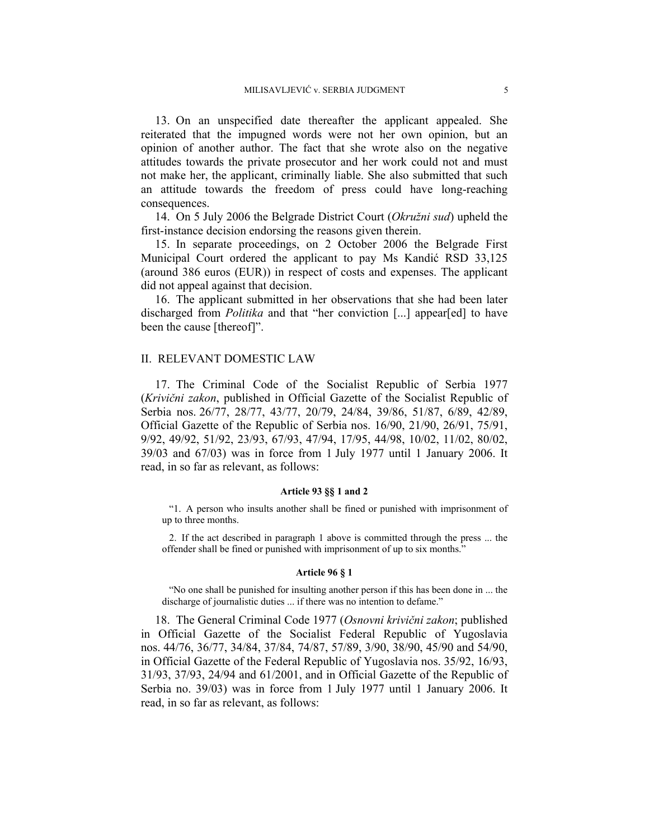13. On an unspecified date thereafter the applicant appealed. She reiterated that the impugned words were not her own opinion, but an opinion of another author. The fact that she wrote also on the negative attitudes towards the private prosecutor and her work could not and must not make her, the applicant, criminally liable. She also submitted that such an attitude towards the freedom of press could have long-reaching consequences.

14. On 5 July 2006 the Belgrade District Court (*Okružni sud*) upheld the first-instance decision endorsing the reasons given therein.

15. In separate proceedings, on 2 October 2006 the Belgrade First Municipal Court ordered the applicant to pay Ms Kandić RSD 33,125 (around 386 euros (EUR)) in respect of costs and expenses. The applicant did not appeal against that decision.

16. The applicant submitted in her observations that she had been later discharged from *Politika* and that "her conviction [...] appear[ed] to have been the cause [thereof]".

#### II. RELEVANT DOMESTIC LAW

17. The Criminal Code of the Socialist Republic of Serbia 1977 (*Krivični zakon*, published in Official Gazette of the Socialist Republic of Serbia nos. 26/77, 28/77, 43/77, 20/79, 24/84, 39/86, 51/87, 6/89, 42/89, Official Gazette of the Republic of Serbia nos. 16/90, 21/90, 26/91, 75/91, 9/92, 49/92, 51/92, 23/93, 67/93, 47/94, 17/95, 44/98, 10/02, 11/02, 80/02, 39/03 and 67/03) was in force from 1 July 1977 until 1 January 2006. It read, in so far as relevant, as follows:

#### **Article 93 §§ 1 and 2**

"1. A person who insults another shall be fined or punished with imprisonment of up to three months.

2. If the act described in paragraph 1 above is committed through the press ... the offender shall be fined or punished with imprisonment of up to six months."

#### **Article 96 § 1**

"No one shall be punished for insulting another person if this has been done in ... the discharge of journalistic duties ... if there was no intention to defame."

18. The General Criminal Code 1977 (*Osnovni krivični zakon*; published in Official Gazette of the Socialist Federal Republic of Yugoslavia nos. 44/76, 36/77, 34/84, 37/84, 74/87, 57/89, 3/90, 38/90, 45/90 and 54/90, in Official Gazette of the Federal Republic of Yugoslavia nos. 35/92, 16/93, 31/93, 37/93, 24/94 and 61/2001, and in Official Gazette of the Republic of Serbia no. 39/03) was in force from 1 July 1977 until 1 January 2006. It read, in so far as relevant, as follows: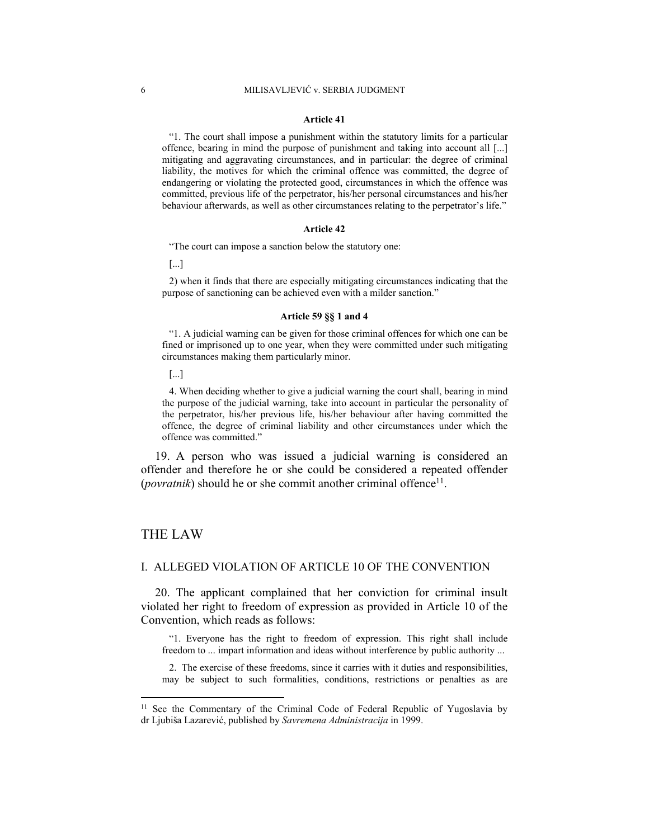#### **Article 41**

"1. The court shall impose a punishment within the statutory limits for a particular offence, bearing in mind the purpose of punishment and taking into account all [...] mitigating and aggravating circumstances, and in particular: the degree of criminal liability, the motives for which the criminal offence was committed, the degree of endangering or violating the protected good, circumstances in which the offence was committed, previous life of the perpetrator, his/her personal circumstances and his/her behaviour afterwards, as well as other circumstances relating to the perpetrator's life."

#### **Article 42**

"The court can impose a sanction below the statutory one:

[...]

2) when it finds that there are especially mitigating circumstances indicating that the purpose of sanctioning can be achieved even with a milder sanction."

#### **Article 59 §§ 1 and 4**

"1. A judicial warning can be given for those criminal offences for which one can be fined or imprisoned up to one year, when they were committed under such mitigating circumstances making them particularly minor.

[...]

4. When deciding whether to give a judicial warning the court shall, bearing in mind the purpose of the judicial warning, take into account in particular the personality of the perpetrator, his/her previous life, his/her behaviour after having committed the offence, the degree of criminal liability and other circumstances under which the offence was committed."

19. A person who was issued a judicial warning is considered an offender and therefore he or she could be considered a repeated offender (*povratnik*) should he or she commit another criminal offence<sup>11</sup>.

### THE LAW

 $\overline{a}$ 

### I. ALLEGED VIOLATION OF ARTICLE 10 OF THE CONVENTION

20. The applicant complained that her conviction for criminal insult violated her right to freedom of expression as provided in Article 10 of the Convention, which reads as follows:

"1. Everyone has the right to freedom of expression. This right shall include freedom to ... impart information and ideas without interference by public authority ...

2. The exercise of these freedoms, since it carries with it duties and responsibilities, may be subject to such formalities, conditions, restrictions or penalties as are

<sup>&</sup>lt;sup>11</sup> See the Commentary of the Criminal Code of Federal Republic of Yugoslavia by dr Ljubiša Lazarević, published by *Savremena Administracija* in 1999.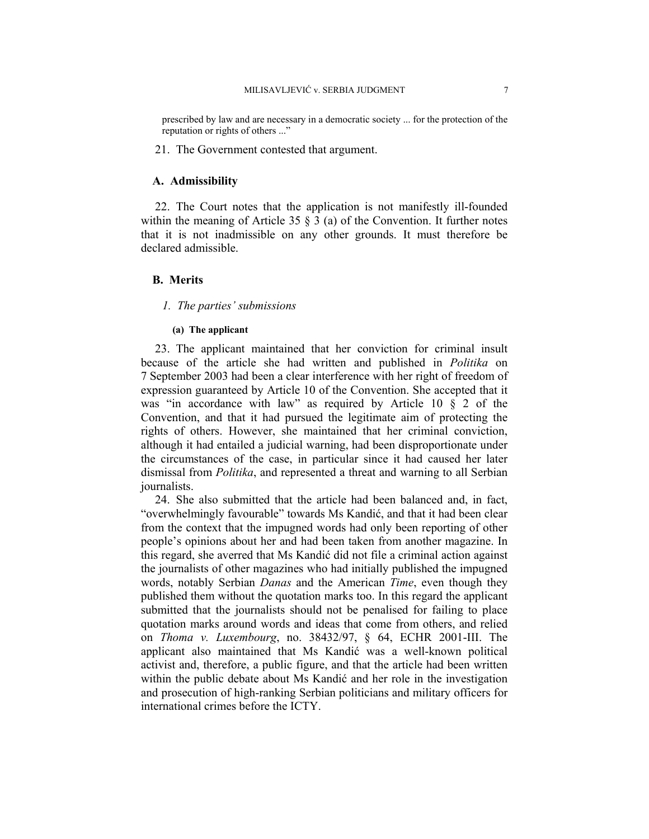prescribed by law and are necessary in a democratic society ... for the protection of the reputation or rights of others ..."

21. The Government contested that argument.

### **A. Admissibility**

22. The Court notes that the application is not manifestly ill-founded within the meaning of Article 35  $\S$  3 (a) of the Convention. It further notes that it is not inadmissible on any other grounds. It must therefore be declared admissible.

### **B. Merits**

### *1. The parties' submissions*

#### **(a) The applicant**

23. The applicant maintained that her conviction for criminal insult because of the article she had written and published in *Politika* on 7 September 2003 had been a clear interference with her right of freedom of expression guaranteed by Article 10 of the Convention. She accepted that it was "in accordance with law" as required by Article 10  $\S$  2 of the Convention, and that it had pursued the legitimate aim of protecting the rights of others. However, she maintained that her criminal conviction, although it had entailed a judicial warning, had been disproportionate under the circumstances of the case, in particular since it had caused her later dismissal from *Politika*, and represented a threat and warning to all Serbian journalists.

24. She also submitted that the article had been balanced and, in fact, "overwhelmingly favourable" towards Ms Kandić, and that it had been clear from the context that the impugned words had only been reporting of other people's opinions about her and had been taken from another magazine. In this regard, she averred that Ms Kandić did not file a criminal action against the journalists of other magazines who had initially published the impugned words, notably Serbian *Danas* and the American *Time*, even though they published them without the quotation marks too. In this regard the applicant submitted that the journalists should not be penalised for failing to place quotation marks around words and ideas that come from others, and relied on *Thoma v. Luxembourg*, no. 38432/97, § 64, ECHR 2001-III. The applicant also maintained that Ms Kandić was a well-known political activist and, therefore, a public figure, and that the article had been written within the public debate about Ms Kandić and her role in the investigation and prosecution of high-ranking Serbian politicians and military officers for international crimes before the ICTY.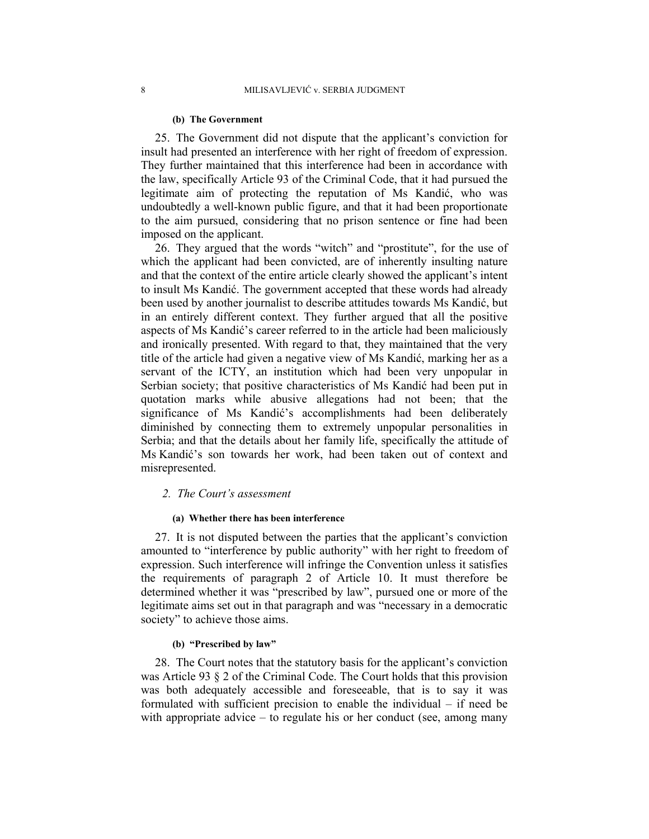#### **(b) The Government**

25. The Government did not dispute that the applicant's conviction for insult had presented an interference with her right of freedom of expression. They further maintained that this interference had been in accordance with the law, specifically Article 93 of the Criminal Code, that it had pursued the legitimate aim of protecting the reputation of Ms Kandić, who was undoubtedly a well-known public figure, and that it had been proportionate to the aim pursued, considering that no prison sentence or fine had been imposed on the applicant.

26. They argued that the words "witch" and "prostitute", for the use of which the applicant had been convicted, are of inherently insulting nature and that the context of the entire article clearly showed the applicant's intent to insult Ms Kandić. The government accepted that these words had already been used by another journalist to describe attitudes towards Ms Kandić, but in an entirely different context. They further argued that all the positive aspects of Ms Kandić's career referred to in the article had been maliciously and ironically presented. With regard to that, they maintained that the very title of the article had given a negative view of Ms Kandić, marking her as a servant of the ICTY, an institution which had been very unpopular in Serbian society; that positive characteristics of Ms Kandić had been put in quotation marks while abusive allegations had not been; that the significance of Ms Kandić's accomplishments had been deliberately diminished by connecting them to extremely unpopular personalities in Serbia; and that the details about her family life, specifically the attitude of Ms Kandić's son towards her work, had been taken out of context and misrepresented.

### *2. The Court's assessment*

### **(a) Whether there has been interference**

27. It is not disputed between the parties that the applicant's conviction amounted to "interference by public authority" with her right to freedom of expression. Such interference will infringe the Convention unless it satisfies the requirements of paragraph 2 of Article 10. It must therefore be determined whether it was "prescribed by law", pursued one or more of the legitimate aims set out in that paragraph and was "necessary in a democratic society" to achieve those aims.

#### **(b) "Prescribed by law"**

28. The Court notes that the statutory basis for the applicant's conviction was Article 93 § 2 of the Criminal Code. The Court holds that this provision was both adequately accessible and foreseeable, that is to say it was formulated with sufficient precision to enable the individual – if need be with appropriate advice – to regulate his or her conduct (see, among many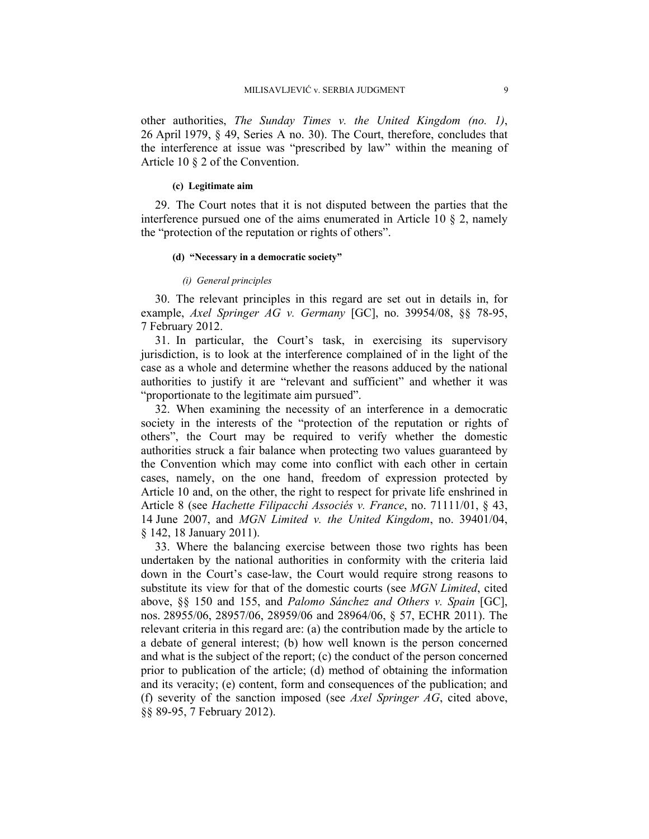other authorities, *The Sunday Times v. the United Kingdom (no. 1)*, 26 April 1979, § 49, Series A no. 30). The Court, therefore, concludes that the interference at issue was "prescribed by law" within the meaning of Article 10 § 2 of the Convention.

#### **(c) Legitimate aim**

29. The Court notes that it is not disputed between the parties that the interference pursued one of the aims enumerated in Article 10 § 2, namely the "protection of the reputation or rights of others".

#### **(d) "Necessary in a democratic society"**

#### *(i) General principles*

30. The relevant principles in this regard are set out in details in, for example, *Axel Springer AG v. Germany* [GC], no. 39954/08, §§ 78-95, 7 February 2012.

31. In particular, the Court's task, in exercising its supervisory jurisdiction, is to look at the interference complained of in the light of the case as a whole and determine whether the reasons adduced by the national authorities to justify it are "relevant and sufficient" and whether it was "proportionate to the legitimate aim pursued".

32. When examining the necessity of an interference in a democratic society in the interests of the "protection of the reputation or rights of others", the Court may be required to verify whether the domestic authorities struck a fair balance when protecting two values guaranteed by the Convention which may come into conflict with each other in certain cases, namely, on the one hand, freedom of expression protected by Article 10 and, on the other, the right to respect for private life enshrined in Article 8 (see *Hachette Filipacchi Associés v. France*, no. 71111/01, § 43, 14 June 2007, and *MGN Limited v. the United Kingdom*, no. 39401/04, § 142, 18 January 2011).

33. Where the balancing exercise between those two rights has been undertaken by the national authorities in conformity with the criteria laid down in the Court's case-law, the Court would require strong reasons to substitute its view for that of the domestic courts (see *MGN Limited*, cited above, §§ 150 and 155, and *Palomo Sánchez and Others v. Spain* [GC], nos. 28955/06, 28957/06, 28959/06 and 28964/06, § 57, ECHR 2011). The relevant criteria in this regard are: (a) the contribution made by the article to a debate of general interest; (b) how well known is the person concerned and what is the subject of the report; (c) the conduct of the person concerned prior to publication of the article; (d) method of obtaining the information and its veracity; (e) content, form and consequences of the publication; and (f) severity of the sanction imposed (see *Axel Springer AG*, cited above, §§ 89-95, 7 February 2012).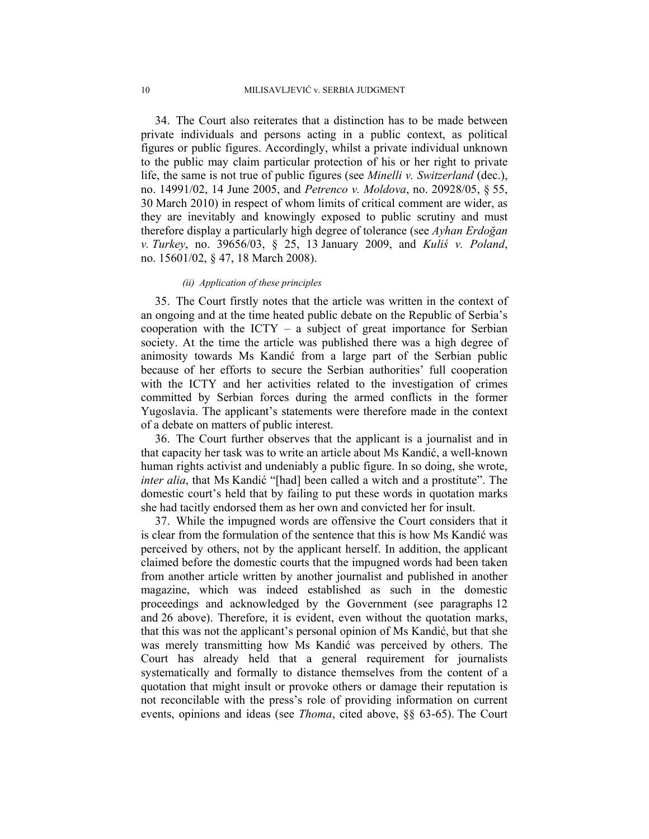34. The Court also reiterates that a distinction has to be made between private individuals and persons acting in a public context, as political figures or public figures. Accordingly, whilst a private individual unknown to the public may claim particular protection of his or her right to private life, the same is not true of public figures (see *Minelli v. Switzerland* (dec.), no. 14991/02, 14 June 2005, and *Petrenco v. Moldova*, no. 20928/05, § 55, 30 March 2010) in respect of whom limits of critical comment are wider, as they are inevitably and knowingly exposed to public scrutiny and must therefore display a particularly high degree of tolerance (see *Ayhan Erdoğan v. Turkey*, no. 39656/03, § 25, 13 January 2009, and *Kuliś v. Poland*, no. 15601/02, § 47, 18 March 2008).

#### *(ii) Application of these principles*

35. The Court firstly notes that the article was written in the context of an ongoing and at the time heated public debate on the Republic of Serbia's cooperation with the  $\text{ICTY}$  – a subject of great importance for Serbian society. At the time the article was published there was a high degree of animosity towards Ms Kandić from a large part of the Serbian public because of her efforts to secure the Serbian authorities' full cooperation with the ICTY and her activities related to the investigation of crimes committed by Serbian forces during the armed conflicts in the former Yugoslavia. The applicant's statements were therefore made in the context of a debate on matters of public interest.

36. The Court further observes that the applicant is a journalist and in that capacity her task was to write an article about Ms Kandić, a well-known human rights activist and undeniably a public figure. In so doing, she wrote, *inter alia*, that Ms Kandić "[had] been called a witch and a prostitute". The domestic court's held that by failing to put these words in quotation marks she had tacitly endorsed them as her own and convicted her for insult.

37. While the impugned words are offensive the Court considers that it is clear from the formulation of the sentence that this is how Ms Kandić was perceived by others, not by the applicant herself. In addition, the applicant claimed before the domestic courts that the impugned words had been taken from another article written by another journalist and published in another magazine, which was indeed established as such in the domestic proceedings and acknowledged by the Government (see paragraphs 12 and 26 above). Therefore, it is evident, even without the quotation marks, that this was not the applicant's personal opinion of Ms Kandić, but that she was merely transmitting how Ms Kandić was perceived by others. The Court has already held that a general requirement for journalists systematically and formally to distance themselves from the content of a quotation that might insult or provoke others or damage their reputation is not reconcilable with the press's role of providing information on current events, opinions and ideas (see *Thoma*, cited above, §§ 63-65). The Court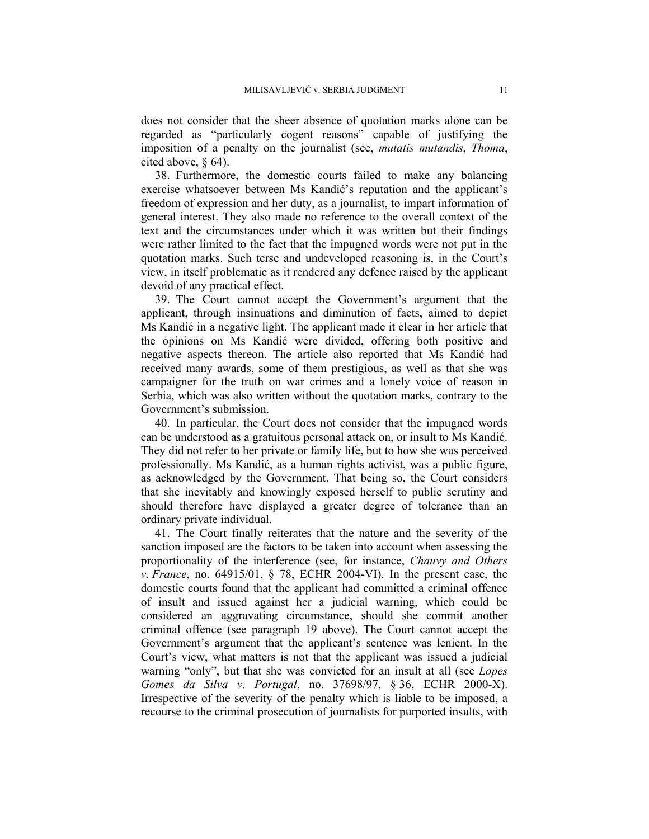does not consider that the sheer absence of quotation marks alone can be regarded as "particularly cogent reasons" capable of justifying the imposition of a penalty on the journalist (see, *mutatis mutandis*, *Thoma*, cited above, § 64).

38. Furthermore, the domestic courts failed to make any balancing exercise whatsoever between Ms Kandić's reputation and the applicant's freedom of expression and her duty, as a journalist, to impart information of general interest. They also made no reference to the overall context of the text and the circumstances under which it was written but their findings were rather limited to the fact that the impugned words were not put in the quotation marks. Such terse and undeveloped reasoning is, in the Court's view, in itself problematic as it rendered any defence raised by the applicant devoid of any practical effect.

39. The Court cannot accept the Government's argument that the applicant, through insinuations and diminution of facts, aimed to depict Ms Kandić in a negative light. The applicant made it clear in her article that the opinions on Ms Kandić were divided, offering both positive and negative aspects thereon. The article also reported that Ms Kandić had received many awards, some of them prestigious, as well as that she was campaigner for the truth on war crimes and a lonely voice of reason in Serbia, which was also written without the quotation marks, contrary to the Government's submission.

40. In particular, the Court does not consider that the impugned words can be understood as a gratuitous personal attack on, or insult to Ms Kandić. They did not refer to her private or family life, but to how she was perceived professionally. Ms Kandić, as a human rights activist, was a public figure, as acknowledged by the Government. That being so, the Court considers that she inevitably and knowingly exposed herself to public scrutiny and should therefore have displayed a greater degree of tolerance than an ordinary private individual.

41. The Court finally reiterates that the nature and the severity of the sanction imposed are the factors to be taken into account when assessing the proportionality of the interference (see, for instance, *Chauvy and Others v. France*, no. 64915/01, § 78, ECHR 2004-VI). In the present case, the domestic courts found that the applicant had committed a criminal offence of insult and issued against her a judicial warning, which could be considered an aggravating circumstance, should she commit another criminal offence (see paragraph 19 above). The Court cannot accept the Government's argument that the applicant's sentence was lenient. In the Court's view, what matters is not that the applicant was issued a judicial warning "only", but that she was convicted for an insult at all (see *Lopes Gomes da Silva v. Portugal*, no. 37698/97, § 36, ECHR 2000-X). Irrespective of the severity of the penalty which is liable to be imposed, a recourse to the criminal prosecution of journalists for purported insults, with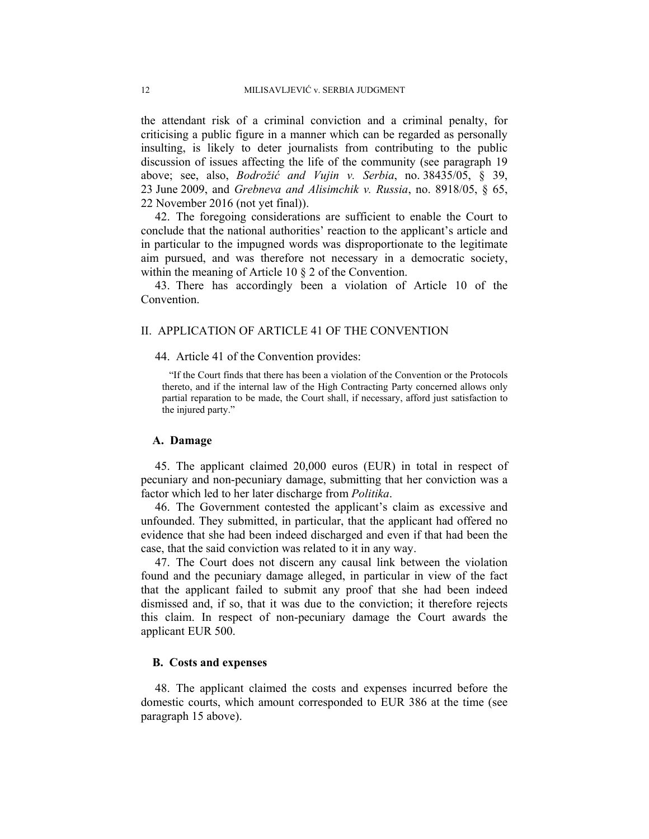the attendant risk of a criminal conviction and a criminal penalty, for criticising a public figure in a manner which can be regarded as personally insulting, is likely to deter journalists from contributing to the public discussion of issues affecting the life of the community (see paragraph 19 above; see, also, *Bodrožić and Vujin v. Serbia*, no. 38435/05, § 39, 23 June 2009, and *Grebneva and Alisimchik v. Russia*, no. 8918/05, § 65, 22 November 2016 (not yet final)).

42. The foregoing considerations are sufficient to enable the Court to conclude that the national authorities' reaction to the applicant's article and in particular to the impugned words was disproportionate to the legitimate aim pursued, and was therefore not necessary in a democratic society, within the meaning of Article 10 § 2 of the Convention.

43. There has accordingly been a violation of Article 10 of the Convention.

### II. APPLICATION OF ARTICLE 41 OF THE CONVENTION

44. Article 41 of the Convention provides:

"If the Court finds that there has been a violation of the Convention or the Protocols thereto, and if the internal law of the High Contracting Party concerned allows only partial reparation to be made, the Court shall, if necessary, afford just satisfaction to the injured party."

#### **A. Damage**

45. The applicant claimed 20,000 euros (EUR) in total in respect of pecuniary and non-pecuniary damage, submitting that her conviction was a factor which led to her later discharge from *Politika*.

46. The Government contested the applicant's claim as excessive and unfounded. They submitted, in particular, that the applicant had offered no evidence that she had been indeed discharged and even if that had been the case, that the said conviction was related to it in any way.

47. The Court does not discern any causal link between the violation found and the pecuniary damage alleged, in particular in view of the fact that the applicant failed to submit any proof that she had been indeed dismissed and, if so, that it was due to the conviction; it therefore rejects this claim. In respect of non-pecuniary damage the Court awards the applicant EUR 500.

### **B. Costs and expenses**

48. The applicant claimed the costs and expenses incurred before the domestic courts, which amount corresponded to EUR 386 at the time (see paragraph 15 above).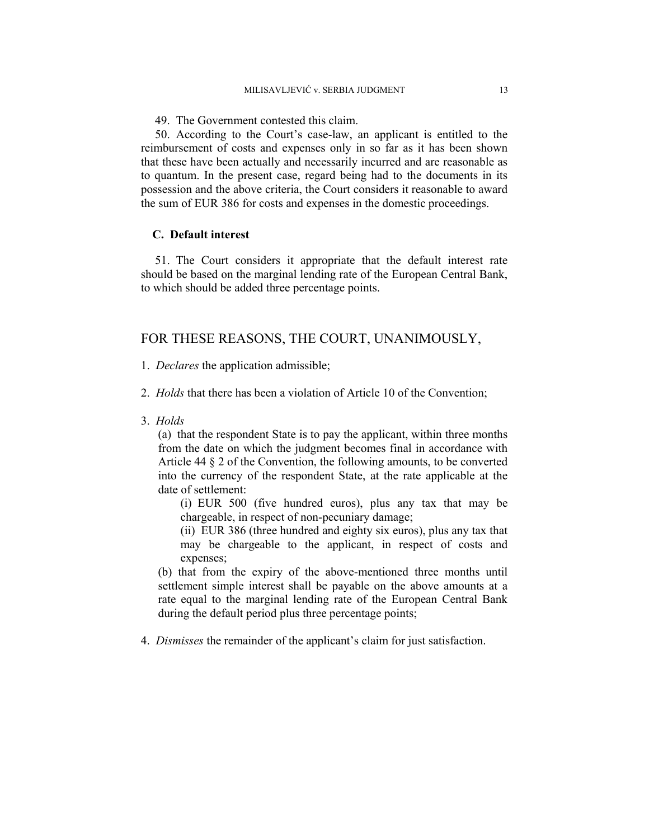49. The Government contested this claim.

50. According to the Court's case-law, an applicant is entitled to the reimbursement of costs and expenses only in so far as it has been shown that these have been actually and necessarily incurred and are reasonable as to quantum. In the present case, regard being had to the documents in its possession and the above criteria, the Court considers it reasonable to award the sum of EUR 386 for costs and expenses in the domestic proceedings.

# **C. Default interest**

51. The Court considers it appropriate that the default interest rate should be based on the marginal lending rate of the European Central Bank, to which should be added three percentage points.

# FOR THESE REASONS, THE COURT, UNANIMOUSLY,

- 1. *Declares* the application admissible;
- 2. *Holds* that there has been a violation of Article 10 of the Convention;
- 3. *Holds*

(a) that the respondent State is to pay the applicant, within three months from the date on which the judgment becomes final in accordance with Article 44 § 2 of the Convention, the following amounts, to be converted into the currency of the respondent State, at the rate applicable at the date of settlement:

(i) EUR 500 (five hundred euros), plus any tax that may be chargeable, in respect of non-pecuniary damage;

(ii) EUR 386 (three hundred and eighty six euros), plus any tax that may be chargeable to the applicant, in respect of costs and expenses;

(b) that from the expiry of the above-mentioned three months until settlement simple interest shall be payable on the above amounts at a rate equal to the marginal lending rate of the European Central Bank during the default period plus three percentage points;

4. *Dismisses* the remainder of the applicant's claim for just satisfaction.